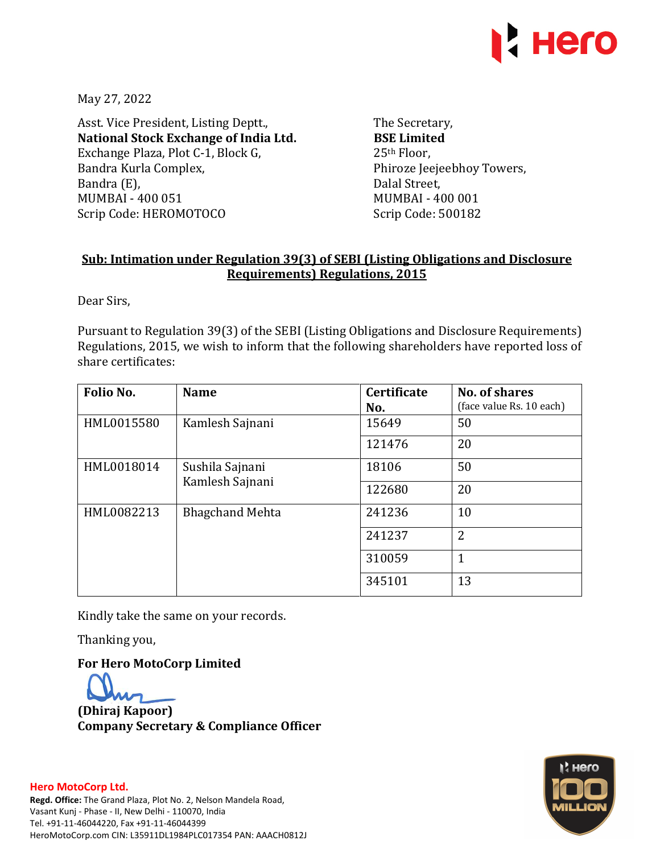

May 27, 2022

Asst. Vice President, Listing Deptt., **National Stock Exchange of India Ltd.**  Exchange Plaza, Plot C-1, Block G, Bandra Kurla Complex, Bandra (E), MUMBAI - 400 051 Scrip Code: HEROMOTOCO

The Secretary, **BSE Limited**  25th Floor, Phiroze Jeejeebhoy Towers, Dalal Street, MUMBAI - 400 001 Scrip Code: 500182

## **Sub: Intimation under Regulation 39(3) of SEBI (Listing Obligations and Disclosure Requirements) Regulations, 2015**

Dear Sirs,

Pursuant to Regulation 39(3) of the SEBI (Listing Obligations and Disclosure Requirements) Regulations, 2015, we wish to inform that the following shareholders have reported loss of share certificates:

| Folio No.  | <b>Name</b>                        | <b>Certificate</b><br>No. | No. of shares<br>(face value Rs. 10 each) |  |
|------------|------------------------------------|---------------------------|-------------------------------------------|--|
| HML0015580 | Kamlesh Sajnani                    | 15649                     | 50                                        |  |
|            |                                    | 121476                    | 20                                        |  |
| HML0018014 | Sushila Sajnani<br>Kamlesh Sajnani | 18106                     | 50                                        |  |
|            |                                    | 122680                    | 20                                        |  |
| HML0082213 | <b>Bhagchand Mehta</b>             | 241236                    | 10                                        |  |
|            |                                    | 241237                    | $\overline{2}$                            |  |
|            |                                    | 310059                    | 1                                         |  |
|            |                                    | 345101                    | 13                                        |  |

Kindly take the same on your records.

Thanking you,

**For Hero MotoCorp Limited** 

**(Dhiraj Kapoor) Company Secretary & Compliance Officer**



## **Hero MotoCorp Ltd. Regd. Office:** The Grand Plaza, Plot No. 2, Nelson Mandela Road, Vasant Kunj - Phase - II, New Delhi - 110070, India Tel. +91-11-46044220, Fax +91-11-46044399 HeroMotoCorp.com CIN: L35911DL1984PLC017354 PAN: AAACH0812J